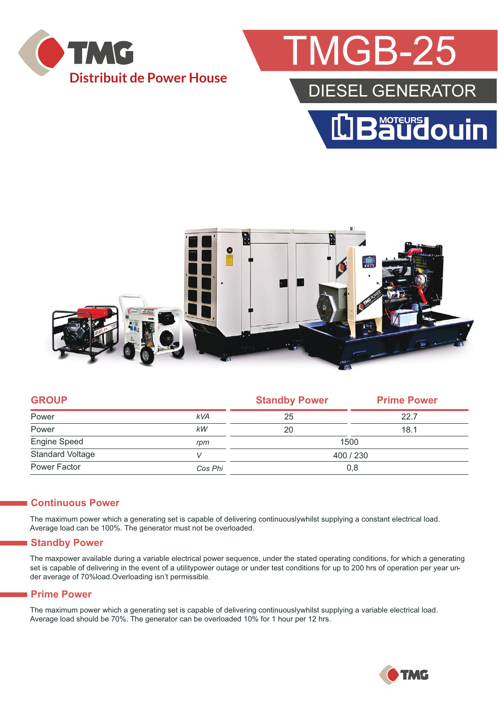

# **MGB-25**

### DIESEL GENERATOR





| <b>GROUP</b>            |            | <b>Standby Power</b> | <b>Prime Power</b> |  |
|-------------------------|------------|----------------------|--------------------|--|
| Power                   | <b>kVA</b> | 25                   | 22.7               |  |
| Power                   | kW         | 20                   | 18.1               |  |
| Engine Speed            | rpm        | 1500                 |                    |  |
| <b>Standard Voltage</b> |            | 400 / 230            |                    |  |
| Power Factor            | Cos Phi    | 0,8                  |                    |  |
|                         |            |                      |                    |  |

#### **Continuous Power**

The maximum power which a generating set is capable of delivering continuouslywhilst supplying a constant electrical load. Average load can be 100%. The generator must not be overloaded.

#### **Standby Power**

The maxpower available during a variable electrical power sequence, under the stated operating conditions, for which a generating set is capable of delivering in the event of a utilitypower outage or under test conditions for up to 200 hrs of operation per year under average of 70%load.Overloading isn't permissible.

#### **Prime Power**

The maximum power which a generating set is capable of delivering continuouslywhilst supplying a variable electrical load. Average load should be 70%. The generator can be overloaded 10% for 1 hour per 12 hrs.

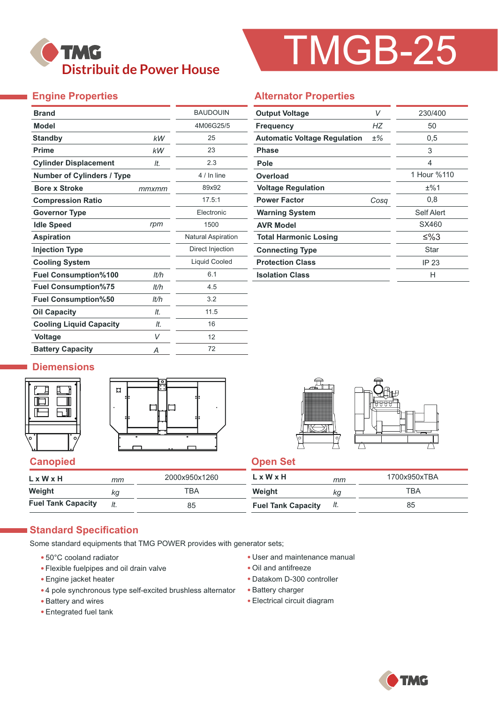## **TMG Distribuit de Power House**

# TMGB-25

### **Engine Properties**

| <b>Brand</b>                      |       | <b>BAUDOUIN</b>           |  |
|-----------------------------------|-------|---------------------------|--|
| <b>Model</b>                      |       | 4M06G25/5                 |  |
| <b>Standby</b>                    | kW    | 25                        |  |
| <b>Prime</b>                      | kW    | 23                        |  |
| <b>Cylinder Displacement</b>      | It.   | 2.3                       |  |
| <b>Number of Cylinders / Type</b> |       | 4 / In line               |  |
| <b>Bore x Stroke</b>              | mmxmm | 89x92                     |  |
| <b>Compression Ratio</b>          |       | 17.5:1                    |  |
| <b>Governor Type</b>              |       | Electronic                |  |
| <b>Idle Speed</b>                 | rpm   | 1500                      |  |
| <b>Aspiration</b>                 |       | <b>Natural Aspiration</b> |  |
| <b>Injection Type</b>             |       | Direct Injection          |  |
| <b>Cooling System</b>             |       | Liquid Cooled             |  |
| <b>Fuel Consumption%100</b>       | lt/h  | 6.1                       |  |
| <b>Fuel Consumption%75</b>        | lt/h  | 4.5                       |  |
| <b>Fuel Consumption%50</b>        | It/h  | 3.2                       |  |
| <b>Oil Capacity</b>               | It.   | 11.5                      |  |
| <b>Cooling Liquid Capacity</b>    | It.   | 16                        |  |
| <b>Voltage</b>                    | V     | 12                        |  |
| <b>Battery Capacity</b>           | Α     | 72                        |  |

#### **Alternator Properties**

| <b>Output Voltage</b>               | V     | 230/400     |  |
|-------------------------------------|-------|-------------|--|
| <b>Frequency</b>                    | НZ    | 50          |  |
| <b>Automatic Voltage Regulation</b> | $±\%$ | 0,5         |  |
| Phase                               |       | 3           |  |
| Pole                                |       | 4           |  |
| Overload                            |       | 1 Hour %110 |  |
| <b>Voltage Regulation</b>           |       | ±%1         |  |
| <b>Power Factor</b>                 | Cosa  | 0,8         |  |
| <b>Warning System</b>               |       | Self Alert  |  |
| <b>AVR Model</b>                    |       | SX460       |  |
| <b>Total Harmonic Losing</b>        |       | ≤%3         |  |
| <b>Connecting Type</b>              | Star  |             |  |
| <b>Protection Class</b>             |       | IP 23       |  |
| <b>Isolation Class</b>              |       | н           |  |

#### **Diemensions**







| L x W x H                 | mт | 2000x950x1260 | L x W x H                 | mm  | 1700x950xTBA |
|---------------------------|----|---------------|---------------------------|-----|--------------|
| Weight                    | Кa | ТВА           | Weight                    | Кg  | TBA          |
| <b>Fuel Tank Capacity</b> |    | 85            | <b>Fuel Tank Capacity</b> | It. | 85           |

#### **Standard Specification**

Some standard equipments that TMG POWER provides with generator sets;

- 50°C cooland radiator
- Flexible fuelpipes and oil drain valve
- Engine jacket heater
- 4 pole synchronous type self-excited brushless alternator
- Battery and wires
- Entegrated fuel tank
- User and maintenance manual
- Oil and antifreeze
- Datakom D-300 controller
- Battery charger
- Electrical circuit diagram